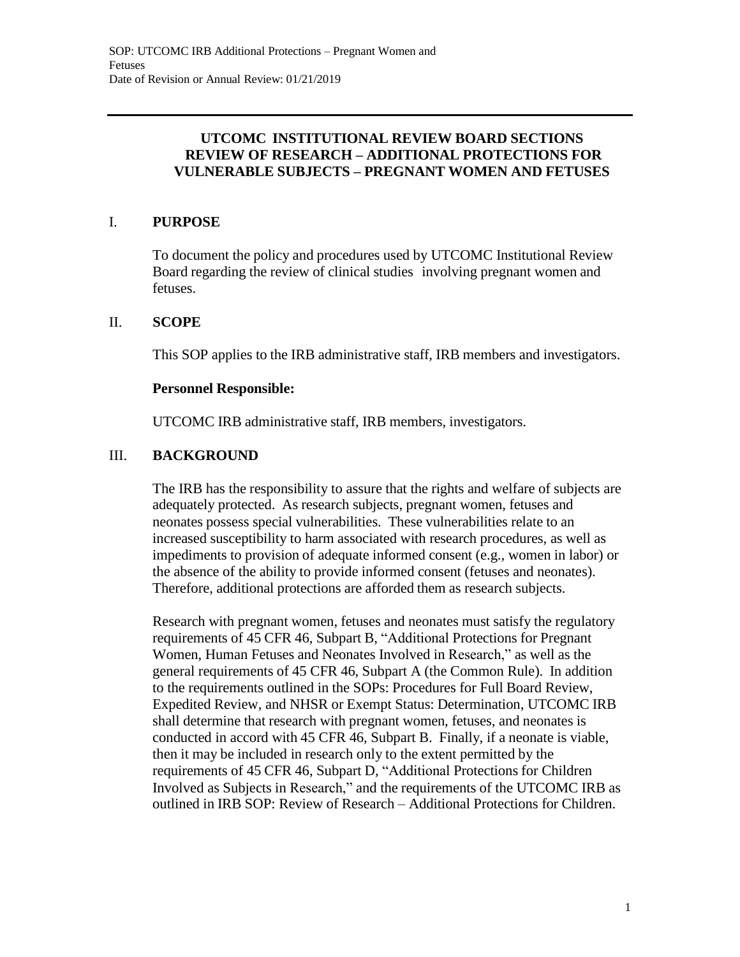### **UTCOMC INSTITUTIONAL REVIEW BOARD SECTIONS REVIEW OF RESEARCH – ADDITIONAL PROTECTIONS FOR VULNERABLE SUBJECTS – PREGNANT WOMEN AND FETUSES**

### I. **PURPOSE**

To document the policy and procedures used by UTCOMC Institutional Review Board regarding the review of clinical studies involving pregnant women and fetuses.

### II. **SCOPE**

This SOP applies to the IRB administrative staff, IRB members and investigators.

#### **Personnel Responsible:**

UTCOMC IRB administrative staff, IRB members, investigators.

### III. **BACKGROUND**

The IRB has the responsibility to assure that the rights and welfare of subjects are adequately protected. As research subjects, pregnant women, fetuses and neonates possess special vulnerabilities. These vulnerabilities relate to an increased susceptibility to harm associated with research procedures, as well as impediments to provision of adequate informed consent (e.g., women in labor) or the absence of the ability to provide informed consent (fetuses and neonates). Therefore, additional protections are afforded them as research subjects.

Research with pregnant women, fetuses and neonates must satisfy the regulatory requirements of 45 CFR 46, Subpart B, "Additional Protections for Pregnant Women, Human Fetuses and Neonates Involved in Research," as well as the general requirements of 45 CFR 46, Subpart A (the Common Rule). In addition to the requirements outlined in the SOPs: Procedures for Full Board Review, Expedited Review, and NHSR or Exempt Status: Determination, UTCOMC IRB shall determine that research with pregnant women, fetuses, and neonates is conducted in accord with 45 CFR 46, Subpart B. Finally, if a neonate is viable, then it may be included in research only to the extent permitted by the requirements of 45 CFR 46, Subpart D, "Additional Protections for Children Involved as Subjects in Research," and the requirements of the UTCOMC IRB as outlined in IRB SOP: Review of Research – Additional Protections for Children.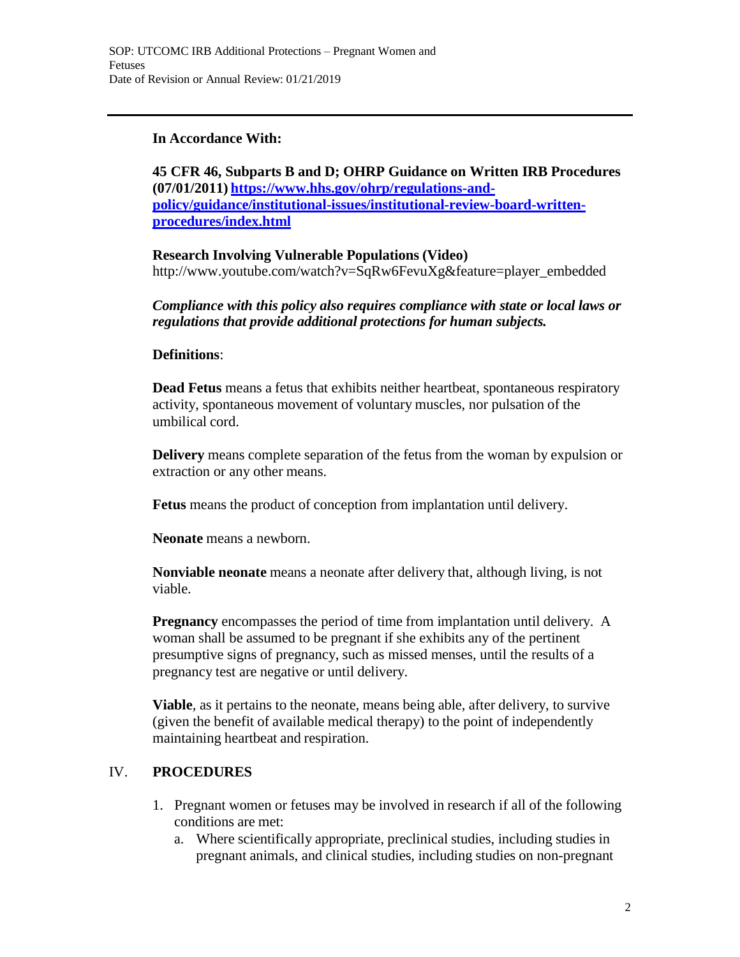## **In Accordance With:**

**45 CFR 46, Subparts B and D; OHRP Guidance on Written IRB Procedures (07/01/2011) https:/[/www.hhs.gov/ohrp/regulations-and](http://www.hhs.gov/ohrp/regulations-and-)policy/guidance/institutional-issues/institutional-review-board-writtenprocedures/index.html**

**Research Involving Vulnerable Populations (Video)** [http://www.youtube.com/watch?v=SqRw6FevuXg&feature=player\\_embedded](http://www.youtube.com/watch?v=SqRw6FevuXg&feature=player_embedded)

*Compliance with this policy also requires compliance with state or local laws or regulations that provide additional protections for human subjects.*

### **Definitions**:

**Dead Fetus** means a fetus that exhibits neither heartbeat, spontaneous respiratory activity, spontaneous movement of voluntary muscles, nor pulsation of the umbilical cord.

**Delivery** means complete separation of the fetus from the woman by expulsion or extraction or any other means.

**Fetus** means the product of conception from implantation until delivery.

**Neonate** means a newborn.

**Nonviable neonate** means a neonate after delivery that, although living, is not viable.

**Pregnancy** encompasses the period of time from implantation until delivery. A woman shall be assumed to be pregnant if she exhibits any of the pertinent presumptive signs of pregnancy, such as missed menses, until the results of a pregnancy test are negative or until delivery.

**Viable**, as it pertains to the neonate, means being able, after delivery, to survive (given the benefit of available medical therapy) to the point of independently maintaining heartbeat and respiration.

# IV. **PROCEDURES**

- 1. Pregnant women or fetuses may be involved in research if all of the following conditions are met:
	- a. Where scientifically appropriate, preclinical studies, including studies in pregnant animals, and clinical studies, including studies on non-pregnant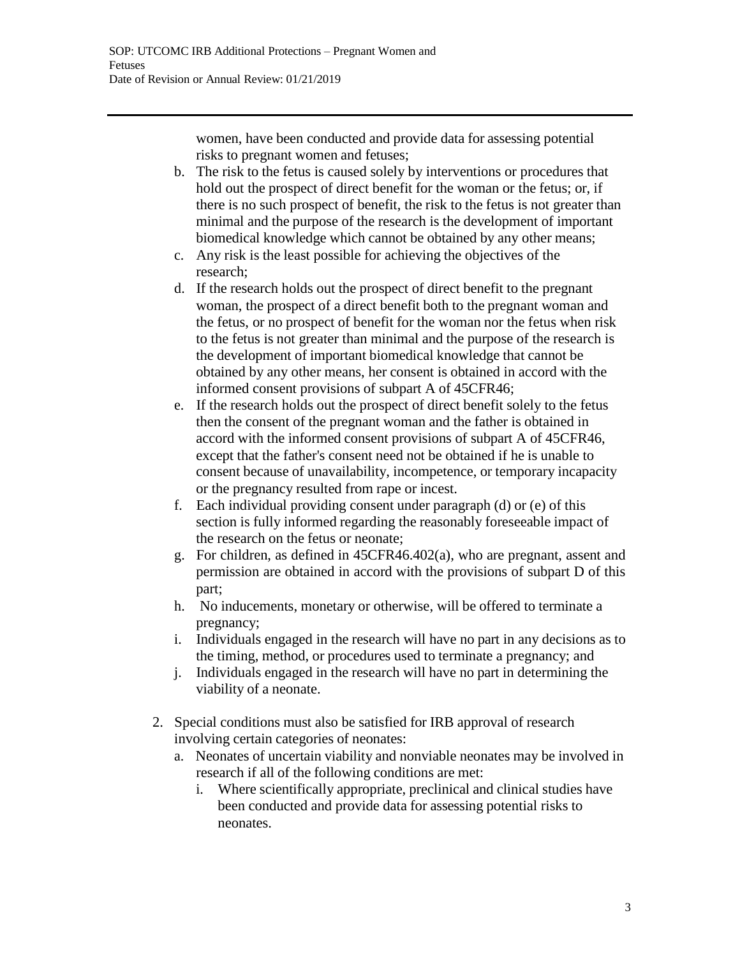women, have been conducted and provide data for assessing potential risks to pregnant women and fetuses;

- b. The risk to the fetus is caused solely by interventions or procedures that hold out the prospect of direct benefit for the woman or the fetus; or, if there is no such prospect of benefit, the risk to the fetus is not greater than minimal and the purpose of the research is the development of important biomedical knowledge which cannot be obtained by any other means;
- c. Any risk is the least possible for achieving the objectives of the research;
- d. If the research holds out the prospect of direct benefit to the pregnant woman, the prospect of a direct benefit both to the pregnant woman and the fetus, or no prospect of benefit for the woman nor the fetus when risk to the fetus is not greater than minimal and the purpose of the research is the development of important biomedical knowledge that cannot be obtained by any other means, her consent is obtained in accord with the informed consent provisions of subpart A of 45CFR46;
- e. If the research holds out the prospect of direct benefit solely to the fetus then the consent of the pregnant woman and the father is obtained in accord with the informed consent provisions of subpart A of 45CFR46, except that the father's consent need not be obtained if he is unable to consent because of unavailability, incompetence, or temporary incapacity or the pregnancy resulted from rape or incest.
- f. Each individual providing consent under paragraph (d) or (e) of this section is fully informed regarding the reasonably foreseeable impact of the research on the fetus or neonate;
- g. For children, as defined in 45CFR46.402(a), who are pregnant, assent and permission are obtained in accord with the provisions of subpart D of this part;
- h. No inducements, monetary or otherwise, will be offered to terminate a pregnancy;
- i. Individuals engaged in the research will have no part in any decisions as to the timing, method, or procedures used to terminate a pregnancy; and
- j. Individuals engaged in the research will have no part in determining the viability of a neonate.
- 2. Special conditions must also be satisfied for IRB approval of research involving certain categories of neonates:
	- a. Neonates of uncertain viability and nonviable neonates may be involved in research if all of the following conditions are met:
		- i. Where scientifically appropriate, preclinical and clinical studies have been conducted and provide data for assessing potential risks to neonates.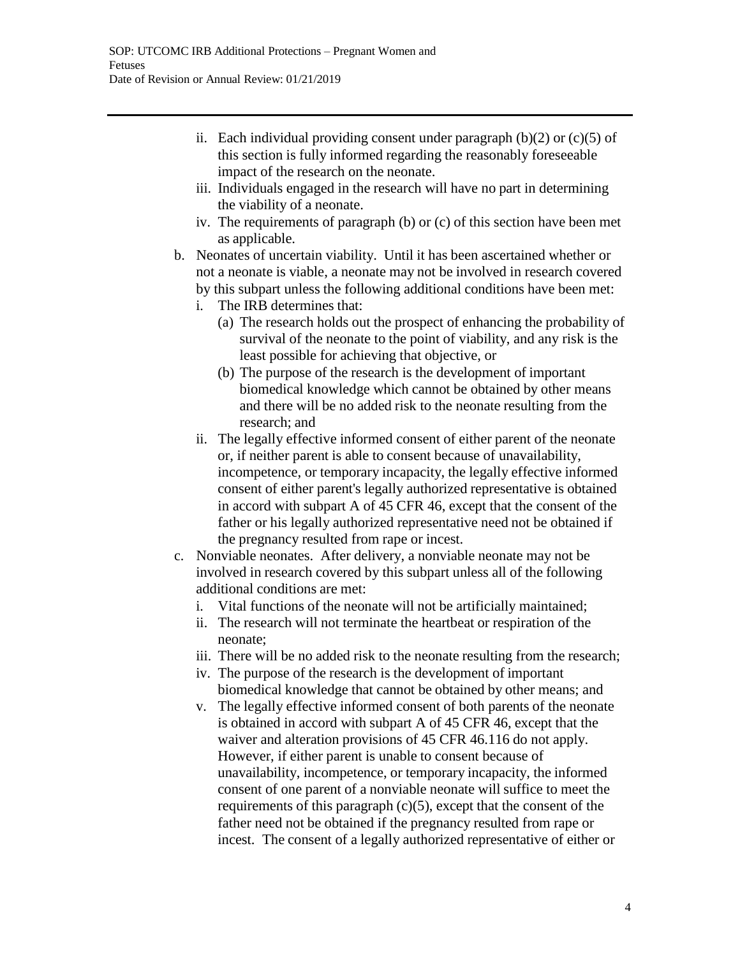- ii. Each individual providing consent under paragraph  $(b)(2)$  or  $(c)(5)$  of this section is fully informed regarding the reasonably foreseeable impact of the research on the neonate.
- iii. Individuals engaged in the research will have no part in determining the viability of a neonate.
- iv. The requirements of paragraph (b) or (c) of this section have been met as applicable.
- b. Neonates of uncertain viability. Until it has been ascertained whether or not a neonate is viable, a neonate may not be involved in research covered by this subpart unless the following additional conditions have been met:
	- i. The IRB determines that:
		- (a) The research holds out the prospect of enhancing the probability of survival of the neonate to the point of viability, and any risk is the least possible for achieving that objective, or
		- (b) The purpose of the research is the development of important biomedical knowledge which cannot be obtained by other means and there will be no added risk to the neonate resulting from the research; and
	- ii. The legally effective informed consent of either parent of the neonate or, if neither parent is able to consent because of unavailability, incompetence, or temporary incapacity, the legally effective informed consent of either parent's legally authorized representative is obtained in accord with subpart A of 45 CFR 46, except that the consent of the father or his legally authorized representative need not be obtained if the pregnancy resulted from rape or incest.
- c. Nonviable neonates. After delivery, a nonviable neonate may not be involved in research covered by this subpart unless all of the following additional conditions are met:
	- i. Vital functions of the neonate will not be artificially maintained;
	- ii. The research will not terminate the heartbeat or respiration of the neonate;
	- iii. There will be no added risk to the neonate resulting from the research;
	- iv. The purpose of the research is the development of important biomedical knowledge that cannot be obtained by other means; and
	- v. The legally effective informed consent of both parents of the neonate is obtained in accord with subpart A of 45 CFR 46, except that the waiver and alteration provisions of 45 CFR 46.116 do not apply. However, if either parent is unable to consent because of unavailability, incompetence, or temporary incapacity, the informed consent of one parent of a nonviable neonate will suffice to meet the requirements of this paragraph  $(c)(5)$ , except that the consent of the father need not be obtained if the pregnancy resulted from rape or incest. The consent of a legally authorized representative of either or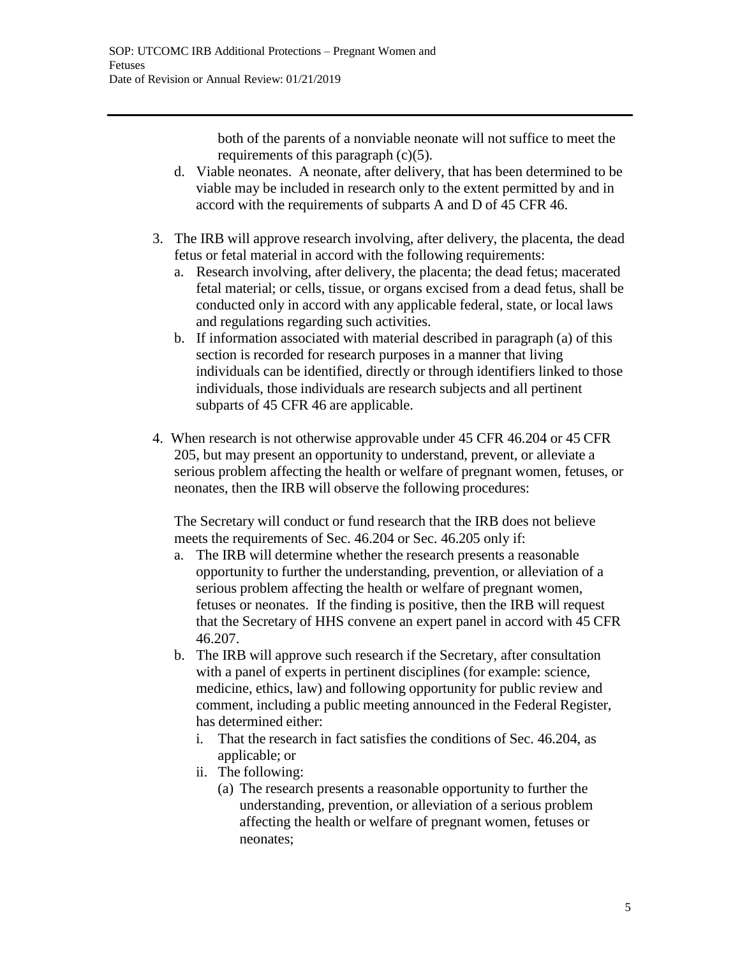both of the parents of a nonviable neonate will not suffice to meet the requirements of this paragraph (c)(5).

- d. Viable neonates. A neonate, after delivery, that has been determined to be viable may be included in research only to the extent permitted by and in accord with the requirements of subparts A and D of 45 CFR 46.
- 3. The IRB will approve research involving, after delivery, the placenta, the dead fetus or fetal material in accord with the following requirements:
	- a. Research involving, after delivery, the placenta; the dead fetus; macerated fetal material; or cells, tissue, or organs excised from a dead fetus, shall be conducted only in accord with any applicable federal, state, or local laws and regulations regarding such activities.
	- b. If information associated with material described in paragraph (a) of this section is recorded for research purposes in a manner that living individuals can be identified, directly or through identifiers linked to those individuals, those individuals are research subjects and all pertinent subparts of 45 CFR 46 are applicable.
- 4. When research is not otherwise approvable under 45 CFR 46.204 or 45 CFR 205, but may present an opportunity to understand, prevent, or alleviate a serious problem affecting the health or welfare of pregnant women, fetuses, or neonates, then the IRB will observe the following procedures:

The Secretary will conduct or fund research that the IRB does not believe meets the requirements of Sec. 46.204 or Sec. 46.205 only if:

- a. The IRB will determine whether the research presents a reasonable opportunity to further the understanding, prevention, or alleviation of a serious problem affecting the health or welfare of pregnant women, fetuses or neonates. If the finding is positive, then the IRB will request that the Secretary of HHS convene an expert panel in accord with 45 CFR 46.207.
- b. The IRB will approve such research if the Secretary, after consultation with a panel of experts in pertinent disciplines (for example: science, medicine, ethics, law) and following opportunity for public review and comment, including a public meeting announced in the Federal Register, has determined either:
	- i. That the research in fact satisfies the conditions of Sec. 46.204, as applicable; or
	- ii. The following:
		- (a) The research presents a reasonable opportunity to further the understanding, prevention, or alleviation of a serious problem affecting the health or welfare of pregnant women, fetuses or neonates;